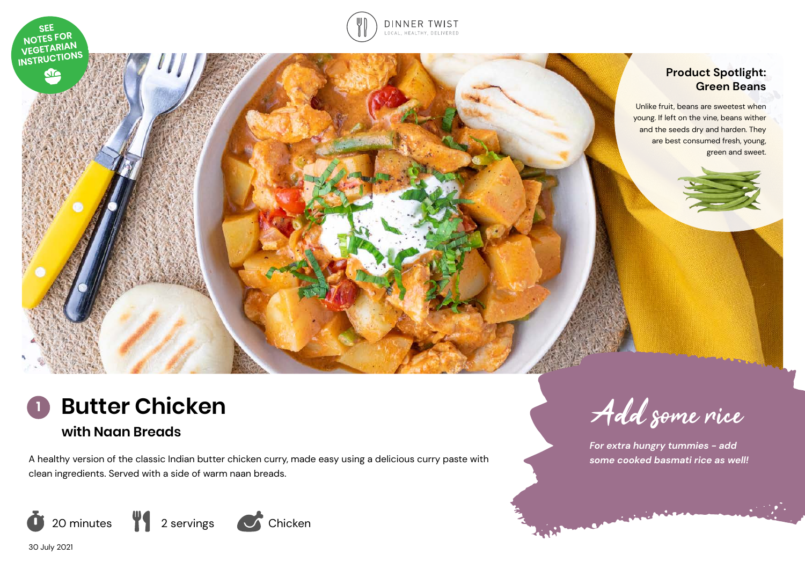

## **Product Spotlight: Green Beans**

Unlike fruit, beans are sweetest when young. If left on the vine, beans wither and the seeds dry and harden. They are best consumed fresh, young, green and sweet.



A healthy version of the classic Indian butter chicken curry, made easy using a delicious curry paste with clean ingredients. Served with a side of warm naan breads.



**<sup>1</sup>** Add some rice

*For extra hungry tummies - add some cooked basmati rice as well!* 

30 July 2021

**SEE** NOTES FOR NOTES FOR<br>VEGETARIAN<br>INSTRUCTIONS

**CTC**